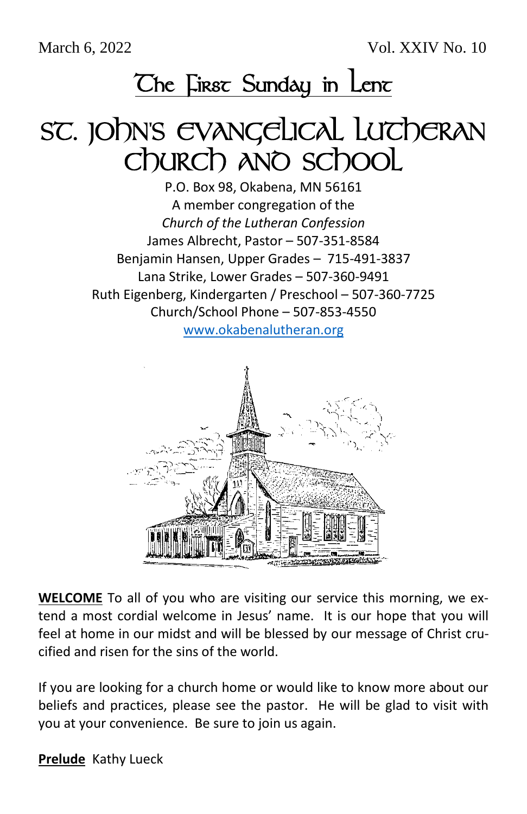March 6, 2022 Vol. XXIV No. 10

## **The First Sunday in Lent**

# SC. JOHN'S EVANGELICAL LUTHERAN Church and school

P.O. Box 98, Okabena, MN 56161 A member congregation of the *Church of the Lutheran Confession* James Albrecht, Pastor – 507-351-8584 Benjamin Hansen, Upper Grades – 715-491-3837 Lana Strike, Lower Grades – 507-360-9491 Ruth Eigenberg, Kindergarten / Preschool – 507-360-7725 Church/School Phone – 507-853-4550

[www.okabenalutheran.org](http://www.okabenalutheran.org/)



**WELCOME** To all of you who are visiting our service this morning, we extend a most cordial welcome in Jesus' name. It is our hope that you will feel at home in our midst and will be blessed by our message of Christ crucified and risen for the sins of the world.

If you are looking for a church home or would like to know more about our beliefs and practices, please see the pastor. He will be glad to visit with you at your convenience. Be sure to join us again.

**Prelude** Kathy Lueck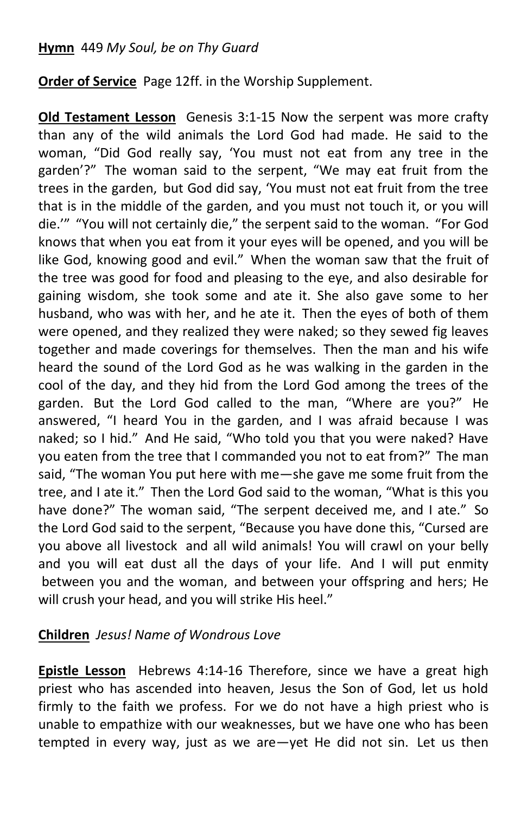**Order of Service** Page 12ff. in the Worship Supplement.

**Old Testament Lesson** Genesis 3:1-15 Now the serpent was more crafty than any of the wild animals the Lord God had made. He said to the woman, "Did God really say, 'You must not eat from any tree in the garden'?" The woman said to the serpent, "We may eat fruit from the trees in the garden, but God did say, 'You must not eat fruit from the tree that is in the middle of the garden, and you must not touch it, or you will die.'" "You will not certainly die," the serpent said to the woman. "For God knows that when you eat from it your eyes will be opened, and you will be like God, knowing good and evil." When the woman saw that the fruit of the tree was good for food and pleasing to the eye, and also desirable for gaining wisdom, she took some and ate it. She also gave some to her husband, who was with her, and he ate it. Then the eyes of both of them were opened, and they realized they were naked; so they sewed fig leaves together and made coverings for themselves. Then the man and his wife heard the sound of the Lord God as he was walking in the garden in the cool of the day, and they hid from the Lord God among the trees of the garden. But the Lord God called to the man, "Where are you?" He answered, "I heard You in the garden, and I was afraid because I was naked; so I hid." And He said, "Who told you that you were naked? Have you eaten from the tree that I commanded you not to eat from?" The man said, "The woman You put here with me—she gave me some fruit from the tree, and I ate it." Then the Lord God said to the woman, "What is this you have done?" The woman said, "The serpent deceived me, and I ate." So the Lord God said to the serpent, "Because you have done this, "Cursed are you above all livestock and all wild animals! You will crawl on your belly and you will eat dust all the days of your life. And I will put enmity between you and the woman, and between your offspring and hers; He will crush your head, and you will strike His heel."

### **Children** *Jesus! Name of Wondrous Love*

**Epistle Lesson** Hebrews 4:14-16 Therefore, since we have a great high priest who has ascended into heaven, Jesus the Son of God, let us hold firmly to the faith we profess. For we do not have a high priest who is unable to empathize with our weaknesses, but we have one who has been tempted in every way, just as we are—yet He did not sin. Let us then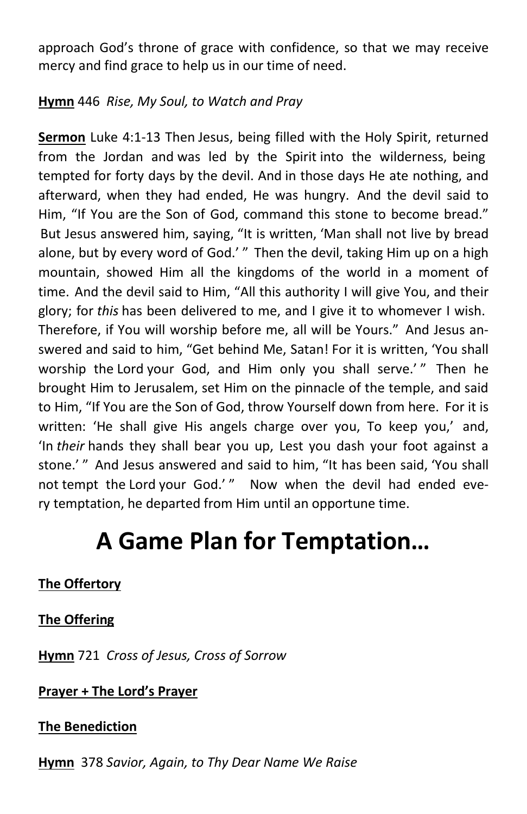approach God's throne of grace with confidence, so that we may receive mercy and find grace to help us in our time of need.

### **Hymn** 446 *Rise, My Soul, to Watch and Pray*

**Sermon** Luke 4:1-13 Then Jesus, being filled with the Holy Spirit, returned from the Jordan and was led by the Spirit into the wilderness, being tempted for forty days by the devil. And in those days He ate nothing, and afterward, when they had ended, He was hungry. And the devil said to Him, "If You are the Son of God, command this stone to become bread." But Jesus answered him, saying, "It is written, 'Man shall not live by bread alone, but by every word of God.' " Then the devil, taking Him up on a high mountain, showed Him all the kingdoms of the world in a moment of time. And the devil said to Him, "All this authority I will give You, and their glory; for *this* has been delivered to me, and I give it to whomever I wish. Therefore, if You will worship before me, all will be Yours." And Jesus answered and said to him, "Get behind Me, Satan! For it is written, 'You shall worship the Lord your God, and Him only you shall serve.'" Then he brought Him to Jerusalem, set Him on the pinnacle of the temple, and said to Him, "If You are the Son of God, throw Yourself down from here. For it is written: 'He shall give His angels charge over you, To keep you,' and, 'In *their* hands they shall bear you up, Lest you dash your foot against a stone.' " And Jesus answered and said to him, "It has been said, 'You shall not tempt the Lord your God.'" Now when the devil had ended every temptation, he departed from Him until an opportune time.

### **A Game Plan for Temptation…**

### **The Offertory**

### **The Offering**

**Hymn** 721 *Cross of Jesus, Cross of Sorrow*

### **Prayer + The Lord's Prayer**

### **The Benediction**

**Hymn** 378 *Savior, Again, to Thy Dear Name We Raise*